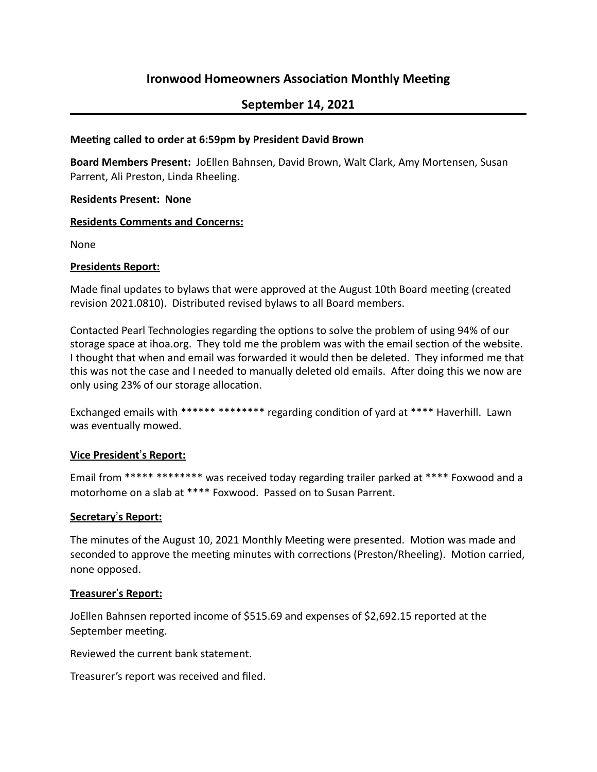# **Ironwood Homeowners Association Monthly Meeting**

# **September 14, 2021**

### **Meeting called to order at 6:59pm by President David Brown**

**Board Members Present:** JoEllen Bahnsen, David Brown, Walt Clark, Amy Mortensen, Susan Parrent, Ali Preston, Linda Rheeling.

#### **Residents Present: None**

### **Residents Comments and Concerns:**

None

### **Presidents Report:**

Made final updates to bylaws that were approved at the August 10th Board meeting (created revision 2021.0810). Distributed revised bylaws to all Board members.

Contacted Pearl Technologies regarding the options to solve the problem of using 94% of our storage space at ihoa.org. They told me the problem was with the email section of the website. I thought that when and email was forwarded it would then be deleted. They informed me that this was not the case and I needed to manually deleted old emails. After doing this we now are only using 23% of our storage allocation.

Exchanged emails with \*\*\*\*\*\* \*\*\*\*\*\*\*\* regarding condition of yard at \*\*\*\* Haverhill. Lawn was eventually mowed.

## **Vice President's Report:**

Email from \*\*\*\*\* \*\*\*\*\*\*\*\* was received today regarding trailer parked at \*\*\*\* Foxwood and a motorhome on a slab at \*\*\*\* Foxwood. Passed on to Susan Parrent.

## **Secretary**!**s Report:**

The minutes of the August 10, 2021 Monthly Meeting were presented. Motion was made and seconded to approve the meeting minutes with corrections (Preston/Rheeling). Motion carried, none opposed.

#### **Treasurer's Report:**

JoEllen Bahnsen reported income of \$515.69 and expenses of \$2,692.15 reported at the September meeting.

Reviewed the current bank statement.

Treasurer's report was received and filed.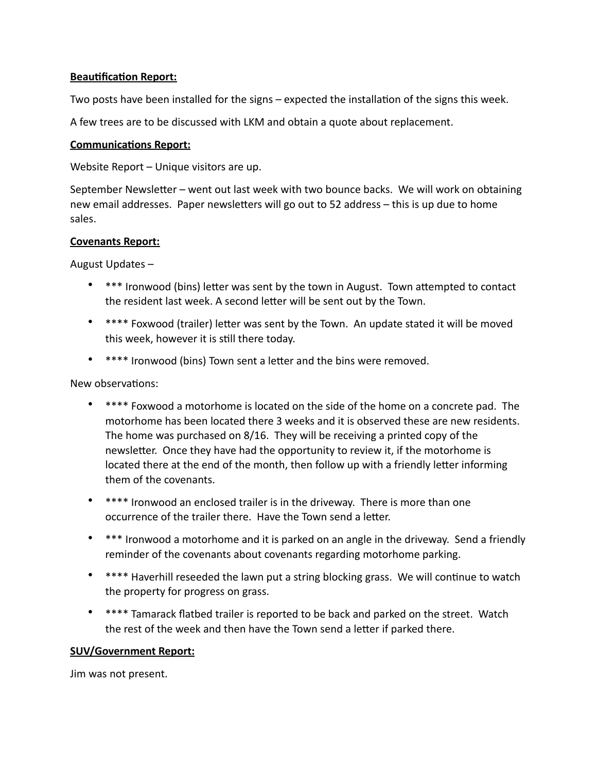# **Beautification Report:**

Two posts have been installed for the signs – expected the installation of the signs this week.

A few trees are to be discussed with LKM and obtain a quote about replacement.

## **Communications Report:**

Website Report  $-$  Unique visitors are up.

September Newsletter – went out last week with two bounce backs. We will work on obtaining new email addresses. Paper newsletters will go out to 52 address – this is up due to home sales.

## **Covenants Report:**

August Updates  $-$ 

- \*\*\* Ironwood (bins) letter was sent by the town in August. Town attempted to contact the resident last week. A second letter will be sent out by the Town.
- \*\*\*\* Foxwood (trailer) letter was sent by the Town. An update stated it will be moved this week, however it is still there today.
- \*\*\*\* Ironwood (bins) Town sent a letter and the bins were removed.

New observations:

- \*\*\*\* Foxwood a motorhome is located on the side of the home on a concrete pad. The motorhome has been located there 3 weeks and it is observed these are new residents. The home was purchased on 8/16. They will be receiving a printed copy of the newsletter. Once they have had the opportunity to review it, if the motorhome is located there at the end of the month, then follow up with a friendly letter informing them of the covenants.
- \*\*\*\* Ironwood an enclosed trailer is in the driveway. There is more than one occurrence of the trailer there. Have the Town send a letter.
- \*\*\* Ironwood a motorhome and it is parked on an angle in the driveway. Send a friendly reminder of the covenants about covenants regarding motorhome parking.
- \*\*\*\* Haverhill reseeded the lawn put a string blocking grass. We will continue to watch the property for progress on grass.
- \*\*\*\* Tamarack flatbed trailer is reported to be back and parked on the street. Watch the rest of the week and then have the Town send a letter if parked there.

## **SUV/Government Report:**

Jim was not present.